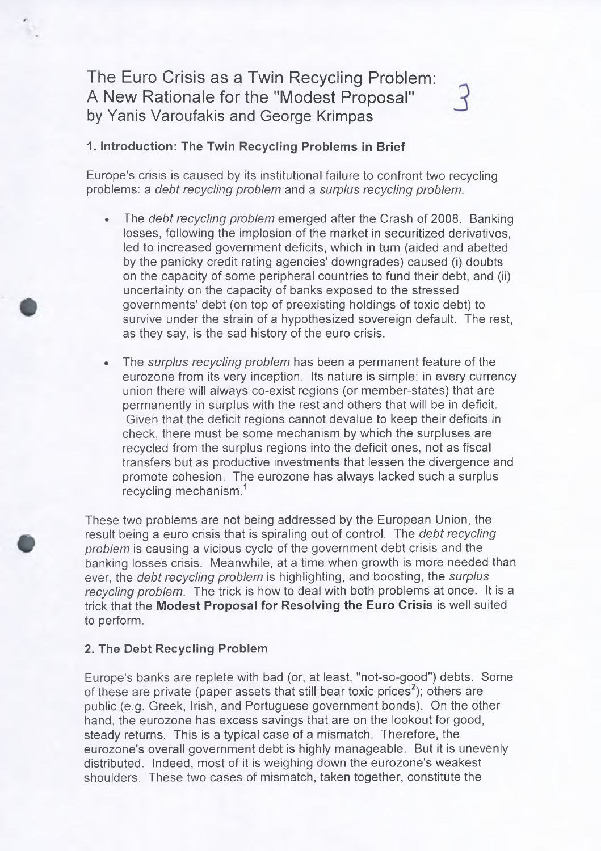# The Euro Crisis as a Twin Recycling Problem: A New Rationale for the "Modest Proposal" by Yanis Varoufakis and George Krimpas

# **1. Introduction: The Twin Recycling Problems in Brief**

Europe's crisis is caused by its institutional failure to confront two recycling problems: a *debt recycling problem* and a *surplus recycling problem.*

- The *debt recycling problem* emerged after the Crash of 2008. Banking losses, following the implosion of the market in securitized derivatives, led to increased government deficits, which in turn (aided and abetted by the panicky credit rating agencies' downgrades) caused (i) doubts on the capacity of some peripheral countries to fund their debt, and (ii) uncertainty on the capacity of banks exposed to the stressed governments' debt (on top of preexisting holdings of toxic debt) to survive under the strain of a hypothesized sovereign default. The rest, as they say, is the sad history of the euro crisis.
- The *surplus recycling problem* has been a permanent feature of the eurozone from its very inception. Its nature is simple: in every currency union there will always co-exist regions (or member-states) that are permanently in surplus with the rest and others that will be in deficit. Given that the deficit regions cannot devalue to keep their deficits in check, there must be some mechanism by which the surpluses are recycled from the surplus regions into the deficit ones, not as fiscal transfers but as productive investments that lessen the divergence and promote cohesion. The eurozone has always lacked such a surplus recycling mechanism.<sup>1</sup>

These two problems are not being addressed by the European Union, the result being a euro crisis that is spiraling out of control. The *debt recycling problem* is causing a vicious cycle of the government debt crisis and the banking losses crisis. Meanwhile, at a time when growth is more needed than ever, the *debt recycling problem* is highlighting, and boosting, the *surplus recycling problem.* The trick is how to deal with both problems at once. It is a trick that the **Modest Proposal for Resolving the Euro Crisis** is well suited to perform.

#### **2. The Debt Recycling Problem**

Europe's banks are replete with bad (or, at least, "not-so-good") debts. Some of these are private (paper assets that still bear toxic prices<sup>2</sup>); others are public (e.g. Greek, Irish, and Portuguese government bonds). On the other hand, the eurozone has excess savings that are on the lookout for good, steady returns. This is a typical case of a mismatch. Therefore, the eurozone's overall government debt is highly manageable. But it is unevenly distributed. Indeed, most of it is weighing down the eurozone's weakest shoulders. These two cases of mismatch, taken together, constitute the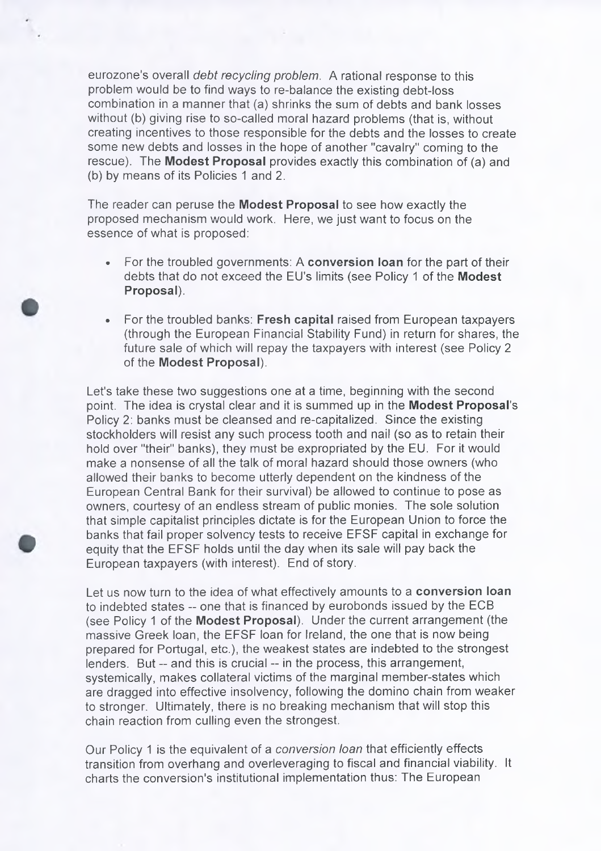eurozone's overall *debt recycling problem.* A rational response to this problem would be to find ways to re-balance the existing debt-loss combination in a manner that (a) shrinks the sum of debts and bank losses without (b) giving rise to so-called moral hazard problems (that is, without creating incentives to those responsible for the debts and the losses to create some new debts and losses in the hope of another "cavalry" coming to the rescue). The **Modest Proposal** provides exactly this combination of (a) and (b) by means of its Policies 1 and 2.

The reader can peruse the **Modest Proposal** to see how exactly the proposed mechanism would work. Here, we just want to focus on the essence of what is proposed:

- For the troubled governments: A **conversion loan** for the part of their debts that do not exceed the Ell's limits (see Policy 1 of the **Modest Proposal).**
- For the troubled banks: **Fresh capital** raised from European taxpayers (through the European Financial Stability Fund) in return for shares, the future sale of which will repay the taxpayers with interest (see Policy 2 of the **Modest Proposal).**

Let's take these two suggestions one at a time, beginning with the second point. The idea is crystal clear and it is summed up in the **Modest Proposal's** Policy 2: banks must be cleansed and re-capitalized. Since the existing stockholders will resist any such process tooth and nail (so as to retain their hold over "their" banks), they must be expropriated by the EU. For it would make a nonsense of all the talk of moral hazard should those owners (who allowed their banks to become utterly dependent on the kindness of the European Central Bank for their survival) be allowed to continue to pose as owners, courtesy of an endless stream of public monies. The sole solution that simple capitalist principles dictate is for the European Union to force the banks that fail proper solvency tests to receive EFSF capital in exchange for equity that the EFSF holds until the day when its sale will pay back the European taxpayers (with interest). End of story.

Let us now turn to the idea of what effectively amounts to a **conversion loan** to indebted states -- one that is financed by eurobonds issued by the ECB (see Policy 1 of the **Modest Proposal).** Under the current arrangement (the massive Greek loan, the EFSF loan for Ireland, the one that is now being prepared for Portugal, etc.), the weakest states are indebted to the strongest lenders. But -- and this is crucial -- in the process, this arrangement, systemically, makes collateral victims of the marginal member-states which are dragged into effective insolvency, following the domino chain from weaker to stronger. Ultimately, there is no breaking mechanism that will stop this chain reaction from culling even the strongest.

Our Policy 1 is the equivalent of a *conversion loan* that efficiently effects transition from overhang and overleveraging to fiscal and financial viability. It charts the conversion's institutional implementation thus: The European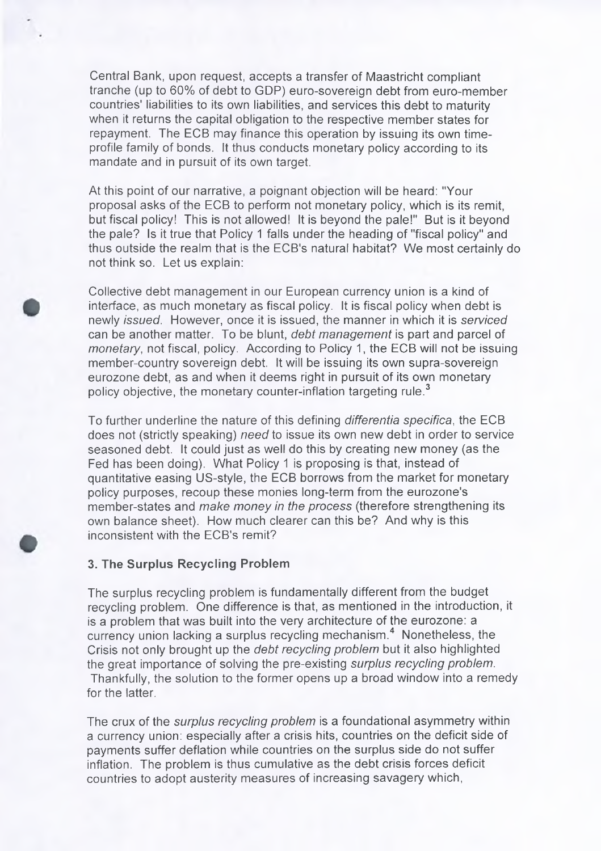Central Bank, upon request, accepts a transfer of Maastricht compliant tranche (up to 60% of debt to GDP) euro-sovereign debt from euro-member countries' liabilities to its own liabilities, and services this debt to maturity when it returns the capital obligation to the respective member states for repayment. The ECB may finance this operation by issuing its own timeprofile family of bonds. It thus conducts monetary policy according to its mandate and in pursuit of its own target.

At this point of our narrative, a poignant objection will be heard: "Your proposal asks of the ECB to perform not monetary policy, which is its remit, but fiscal policy! This is not allowed! It is beyond the pale!" But is it beyond the pale? Is it true that Policy 1 falls under the heading of "fiscal policy" and thus outside the realm that is the ECB's natural habitat? We most certainly do not think so. Let us explain:

Collective debt management in our European currency union is a kind of interface, as much monetary as fiscal policy. It is fiscal policy when debt is newly *issued.* However, once it is issued, the manner in which it is *serviced* can be another matter. To be blunt, *debt management* is part and parcel of *monetary*, not fiscal, policy. According to Policy 1, the ECB will not be issuing member-country sovereign debt. It will be issuing its own supra-sovereign eurozone debt, as and when it deems right in pursuit of its own monetary policy objective, the monetary counter-inflation targeting rule.<sup>3</sup>

To further underline the nature of this defining *differentia specifica,* the ECB does not (strictly speaking) *need to* issue its own new debt in order to service seasoned debt. It could just as well do this by creating new money (as the Fed has been doing). What Policy 1 is proposing is that, instead of quantitative easing US-style, the ECB borrows from the market for monetary policy purposes, recoup these monies long-term from the eurozone's member-states and *make money in the process* (therefore strengthening its own balance sheet). How much clearer can this be? And why is this inconsistent with the ECB's remit?

## **3. The Surplus Recycling Problem**

The surplus recycling problem is fundamentally different from the budget recycling problem. One difference is that, as mentioned in the introduction, it is a problem that was built into the very architecture of the eurozone: a currency union lacking a surplus recycling mechanism.<sup>4</sup> Nonetheless, the Crisis not only brought up the *debt recycling problem* but it also highlighted the great importance of solving the pre-existing *surplus recycling problem.* Thankfully, the solution to the former opens up a broad window into a remedy for the latter.

The crux of the *surplus recycling problem* is a foundational asymmetry within a currency union: especially after a crisis hits, countries on the deficit side of payments suffer deflation while countries on the surplus side do not suffer inflation. The problem is thus cumulative as the debt crisis forces deficit countries to adopt austerity measures of increasing savagery which,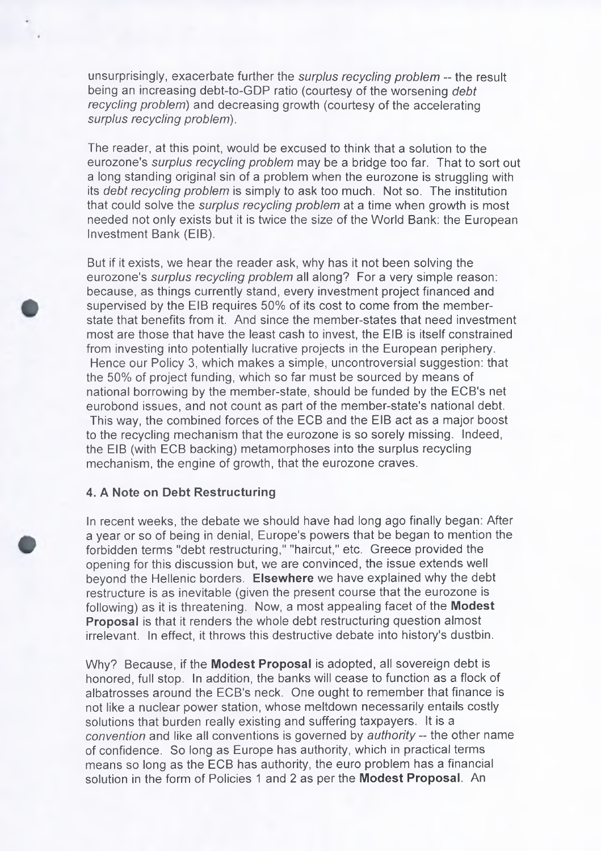unsurprisingly, exacerbate further the *surplus recycling problem* -- the result being an increasing debt-to-GDP ratio (courtesy of the worsening *debt recycling problem)* and decreasing growth (courtesy of the accelerating *surplus recycling problem).*

The reader, at this point, would be excused to think that a solution to the eurozone's *surplus recycling problem* may be a bridge too far. That to sort out a long standing original sin of a problem when the eurozone is struggling with its *debt recycling problem* is simply to ask too much. Not so. The institution that could solve the *surplus recycling problem* at a time when growth is most needed not only exists but it is twice the size of the World Bank: the European Investment Bank (EIB).

But if it exists, we hear the reader ask, why has it not been solving the eurozone's *surplus recycling problem* all along? For a very simple reason: because, as things currently stand, every investment project financed and supervised by the EIB requires 50% of its cost to come from the memberstate that benefits from it. And since the member-states that need investment most are those that have the least cash to invest, the EIB is itself constrained from investing into potentially lucrative projects in the European periphery. Hence our Policy 3, which makes a simple, uncontroversial suggestion: that the 50% of project funding, which so far must be sourced by means of national borrowing by the member-state, should be funded by the ECB's net eurobond issues, and not count as part of the member-state's national debt. This way, the combined forces of the ECB and the EIB act as a major boost to the recycling mechanism that the eurozone is so sorely missing. Indeed, the EIB (with ECB backing) metamorphoses into the surplus recycling mechanism, the engine of growth, that the eurozone craves.

## **4. A Note on Debt Restructuring**

In recent weeks, the debate we should have had long ago finally began: After a year or so of being in denial, Europe's powers that be began to mention the forbidden terms "debt restructuring," "haircut," etc. Greece provided the opening for this discussion but, we are convinced, the issue extends well beyond the Hellenic borders. **Elsewhere** we have explained why the debt restructure is as inevitable (given the present course that the eurozone is following) as it is threatening. Now, a most appealing facet of the **Modest Proposal** is that it renders the whole debt restructuring question almost irrelevant. In effect, it throws this destructive debate into history's dustbin.

Why? Because, if the **Modest Proposal** is adopted, all sovereign debt is honored, full stop. In addition, the banks will cease to function as a flock of albatrosses around the ECB's neck. One ought to remember that finance is not like a nuclear power station, whose meltdown necessarily entails costly solutions that burden really existing and suffering taxpayers. It is a *convention* and like all conventions is governed by *authority -* the other name of confidence. So long as Europe has authority, which in practical terms means so long as the ECB has authority, the euro problem has a financial solution in the form of Policies 1 and 2 as per the **Modest Proposal.** An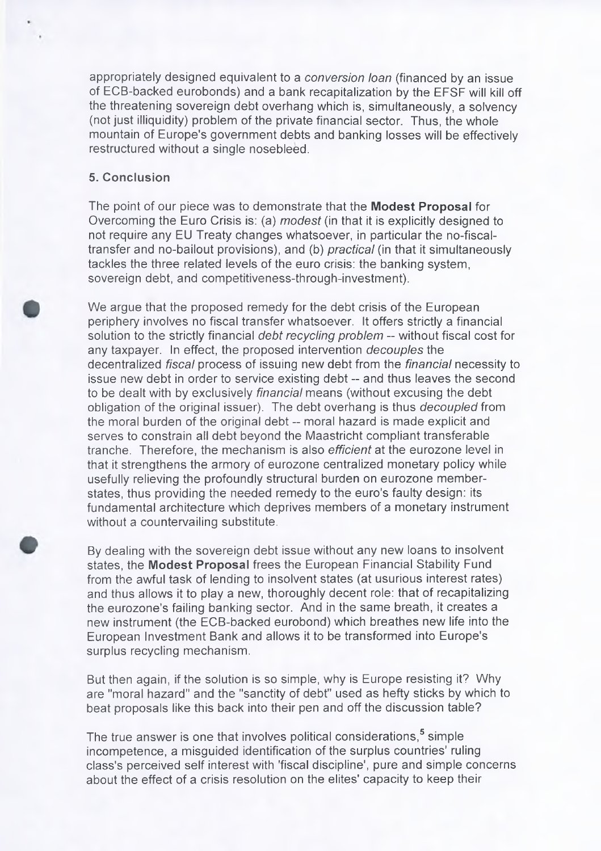appropriately designed equivalent to a *conversion loan* (financed by an issue of ECB-backed eurobonds) and a bank recapitalization by the EFSF will kill off the threatening sovereign debt overhang which is, simultaneously, a solvency (not just illiquidity) problem of the private financial sector. Thus, the whole mountain of Europe's government debts and banking losses will be effectively restructured without a single nosebleed.

## **5. Conclusion**

The point of our piece was to demonstrate that the **Modest Proposal** for Overcoming the Euro Crisis is: (a) *modest* (in that it is explicitly designed to not require any EU Treaty changes whatsoever, in particular the no-fiscaltransfer and no-bailout provisions), and (b) *practical* (in that it simultaneously tackles the three related levels of the euro crisis: the banking system, sovereign debt, and competitiveness-through-investment).

We argue that the proposed remedy for the debt crisis of the European periphery involves no fiscal transfer whatsoever. It offers strictly a financial solution to the strictly financial *debt recycling problem* — without fiscal cost for any taxpayer. In effect, the proposed intervention *decouples* the decentralized *fiscal* process of issuing new debt from the *financial* necessity to issue new debt in order to service existing debt - and thus leaves the second to be dealt with by exclusively *financial* means (without excusing the debt obligation of the original issuer). The debt overhang is thus *decoupled from* the moral burden of the original debt — moral hazard is made explicit and serves to constrain all debt beyond the Maastricht compliant transferable tranche. Therefore, the mechanism is also *efficient* at the eurozone level in that it strengthens the armory of eurozone centralized monetary policy while usefully relieving the profoundly structural burden on eurozone memberstates, thus providing the needed remedy to the euro's faulty design: its fundamental architecture which deprives members of a monetary instrument without a countervailing substitute.

By dealing with the sovereign debt issue without any new loans to insolvent states, the **Modest Proposal** frees the European Financial Stability Fund from the awful task of lending to insolvent states (at usurious interest rates) and thus allows it to play a new, thoroughly decent role: that of recapitalizing the eurozone's failing banking sector. And in the same breath, it creates a new instrument (the ECB-backed eurobond) which breathes new life into the European Investment Bank and allows it to be transformed into Europe's surplus recycling mechanism.

But then again, if the solution is so simple, why is Europe resisting it? Why are "moral hazard" and the "sanctity of debt" used as hefty sticks by which to beat proposals like this back into their pen and off the discussion table?

The true answer is one that involves political considerations,<sup>5</sup> simple incompetence, a misguided identification of the surplus countries' ruling class's perceived self interest with 'fiscal discipline', pure and simple concerns about the effect of a crisis resolution on the elites' capacity to keep their